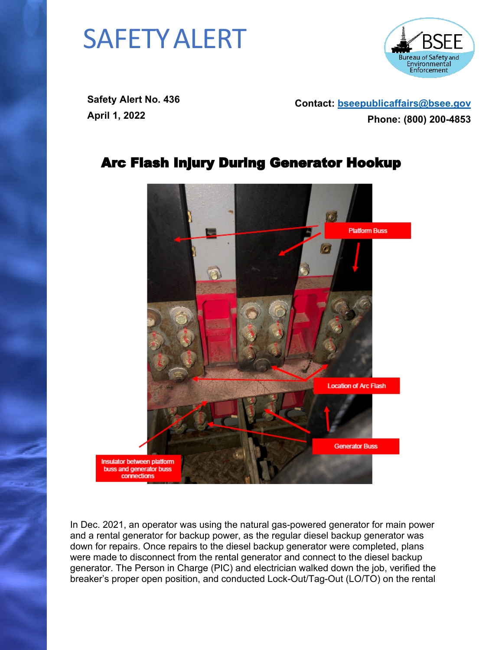## SAFETYALERT



**Safety Alert No. 436 April 1, 2022**

**Contact: [bseepublicaffairs@bsee.gov](mailto:bseepublicaffairs@bsee.gov) Phone: (800) 200-4853**

## Arc Flash Injury During Generator Hookup



In Dec. 2021, an operator was using the natural gas-powered generator for main power and a rental generator for backup power, as the regular diesel backup generator was down for repairs. Once repairs to the diesel backup generator were completed, plans were made to disconnect from the rental generator and connect to the diesel backup generator. The Person in Charge (PIC) and electrician walked down the job, verified the breaker's proper open position, and conducted Lock-Out/Tag-Out (LO/TO) on the rental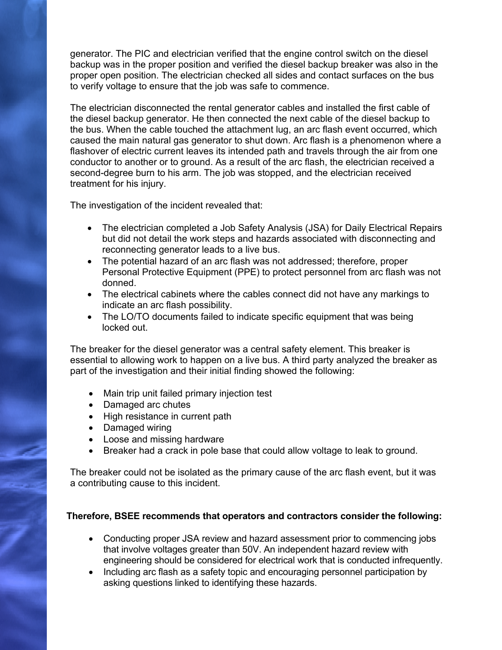generator. The PIC and electrician verified that the engine control switch on the diesel backup was in the proper position and verified the diesel backup breaker was also in the proper open position. The electrician checked all sides and contact surfaces on the bus to verify voltage to ensure that the job was safe to commence.

The electrician disconnected the rental generator cables and installed the first cable of the diesel backup generator. He then connected the next cable of the diesel backup to the bus. When the cable touched the attachment lug, an arc flash event occurred, which caused the main natural gas generator to shut down. Arc flash is a phenomenon where a flashover of electric current leaves its intended path and travels through the air from one conductor to another or to ground. As a result of the arc flash, the electrician received a second-degree burn to his arm. The job was stopped, and the electrician received treatment for his injury.

The investigation of the incident revealed that:

- · The electrician completed a Job Safety Analysis (JSA) for Daily Electrical Repairs but did not detail the work steps and hazards associated with disconnecting and reconnecting generator leads to a live bus.
- · The potential hazard of an arc flash was not addressed; therefore, proper Personal Protective Equipment (PPE) to protect personnel from arc flash was not donned.
- · The electrical cabinets where the cables connect did not have any markings to indicate an arc flash possibility.
- The LO/TO documents failed to indicate specific equipment that was being locked out.

The breaker for the diesel generator was a central safety element. This breaker is essential to allowing work to happen on a live bus. A third party analyzed the breaker as part of the investigation and their initial finding showed the following:

- · Main trip unit failed primary injection test
- · Damaged arc chutes
- High resistance in current path
- · Damaged wiring
- · Loose and missing hardware
- · Breaker had a crack in pole base that could allow voltage to leak to ground.

The breaker could not be isolated as the primary cause of the arc flash event, but it was a contributing cause to this incident.

## **Therefore, BSEE recommends that operators and contractors consider the following:**

- · Conducting proper JSA review and hazard assessment prior to commencing jobs that involve voltages greater than 50V. An independent hazard review with engineering should be considered for electrical work that is conducted infrequently.
- · Including arc flash as a safety topic and encouraging personnel participation by asking questions linked to identifying these hazards.